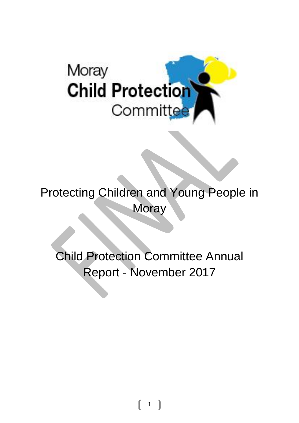

Protecting Children and Young People in **Moray** 

Child Protection Committee Annual Report - November 2017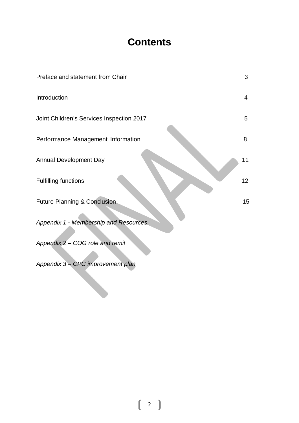## **Contents**

| Preface and statement from Chair          | 3               |
|-------------------------------------------|-----------------|
| Introduction                              | $\overline{4}$  |
| Joint Children's Services Inspection 2017 | 5               |
| Performance Management Information        | 8               |
| <b>Annual Development Day</b>             | 11              |
| <b>Fulfilling functions</b>               | 12 <sub>2</sub> |
| <b>Future Planning &amp; Conclusion</b>   | 15              |
| Appendix 1 - Membership and Resources     |                 |
| Appendix 2 - COG role and remit           |                 |
| Appendix 3 - CPC improvement plan         |                 |

2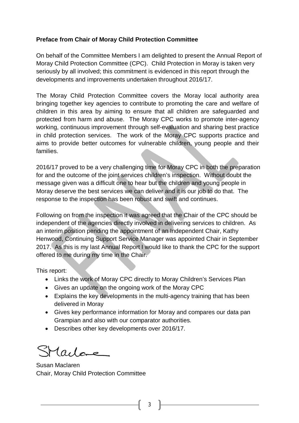#### **Preface from Chair of Moray Child Protection Committee**

On behalf of the Committee Members I am delighted to present the Annual Report of Moray Child Protection Committee (CPC). Child Protection in Moray is taken very seriously by all involved; this commitment is evidenced in this report through the developments and improvements undertaken throughout 2016/17.

The Moray Child Protection Committee covers the Moray local authority area bringing together key agencies to contribute to promoting the care and welfare of children in this area by aiming to ensure that all children are safeguarded and protected from harm and abuse. The Moray CPC works to promote inter-agency working, continuous improvement through self-evaluation and sharing best practice in child protection services. The work of the Moray CPC supports practice and aims to provide better outcomes for vulnerable children, young people and their families.

2016/17 proved to be a very challenging time for Moray CPC in both the preparation for and the outcome of the joint services children's inspection. Without doubt the message given was a difficult one to hear but the children and young people in Moray deserve the best services we can deliver and it is our job to do that. The response to the inspection has been robust and swift and continues.

Following on from the inspection it was agreed that the Chair of the CPC should be independent of the agencies directly involved in delivering services to children. As an interim position pending the appointment of an Independent Chair, Kathy Henwood, Continuing Support Service Manager was appointed Chair in September 2017. As this is my last Annual Report I would like to thank the CPC for the support offered to me during my time in the Chair.

This report:

- Links the work of Moray CPC directly to Moray Children's Services Plan
- Gives an update on the ongoing work of the Moray CPC
- Explains the key developments in the multi-agency training that has been delivered in Moray
- Gives key performance information for Moray and compares our data pan Grampian and also with our comparator authorities.
- Describes other key developments over 2016/17.

 $l$ acles

Susan Maclaren Chair, Moray Child Protection Committee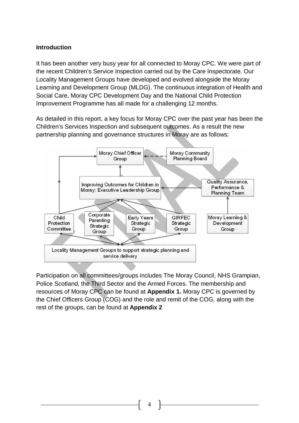#### **Introduction**

It has been another very busy year for all connected to Moray CPC. We were part of the recent Children's Service Inspection carried out by the Care Inspectorate. Our Locality Management Groups have developed and evolved alongside the Moray Learning and Development Group (MLDG). The continuous integration of Health and Social Care, Moray CPC Development Day and the National Child Protection Improvement Programme has all made for a challenging 12 months.

As detailed in this report, a key focus for Moray CPC over the past year has been the Children's Services Inspection and subsequent outcomes. As a result the new partnership planning and governance structures in Moray are as follows:



Participation on all committees/groups includes The Moray Council, NHS Grampian, Police Scotland, the Third Sector and the Armed Forces. The membership and resources of Moray CPC can be found at **Appendix 1.** Moray CPC is governed by the Chief Officers Group (COG) and the role and remit of the COG, along with the rest of the groups, can be found at **Appendix 2**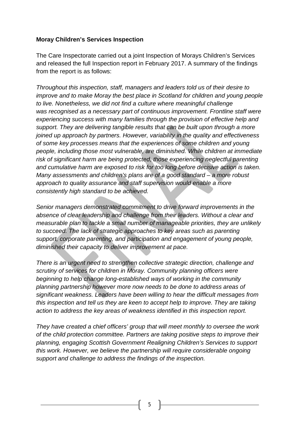#### **Moray Children's Services Inspection**

The Care Inspectorate carried out a joint Inspection of Morays Children's Services and released the full Inspection report in February 2017. A summary of the findings from the report is as follows:

*Throughout this inspection, staff, managers and leaders told us of their desire to improve and to make Moray the best place in Scotland for children and young people to live. Nonetheless, we did not find a culture where meaningful challenge was recognised as a necessary part of continuous improvement. Frontline staff were experiencing success with many families through the provision of effective help and support. They are delivering tangible results that can be built upon through a more joined up approach by partners. However, variability in the quality and effectiveness of some key processes means that the experiences of some children and young people, including those most vulnerable, are diminished. While children at immediate risk of significant harm are being protected, those experiencing neglectful parenting and cumulative harm are exposed to risk for too long before decisive action is taken. Many assessments and children's plans are of a good standard – a more robust approach to quality assurance and staff supervision would enable a more consistently high standard to be achieved.* 

*Senior managers demonstrated commitment to drive forward improvements in the absence of clear leadership and challenge from their leaders. Without a clear and measurable plan to tackle a small number of manageable priorities, they are unlikely to succeed. The lack of strategic approaches to key areas such as parenting support, corporate parenting, and participation and engagement of young people, diminished their capacity to deliver improvement at pace.*

*There is an urgent need to strengthen collective strategic direction, challenge and scrutiny of services for children in Moray. Community planning officers were beginning to help change long-established ways of working in the community planning partnership however more now needs to be done to address areas of significant weakness. Leaders have been willing to hear the difficult messages from this inspection and tell us they are keen to accept help to improve. They are taking action to address the key areas of weakness identified in this inspection report.*

*They have created a chief officers' group that will meet monthly to oversee the work of the child protection committee. Partners are taking positive steps to improve their planning, engaging Scottish Government Realigning Children's Services to support this work. However, we believe the partnership will require considerable ongoing support and challenge to address the findings of the inspection.*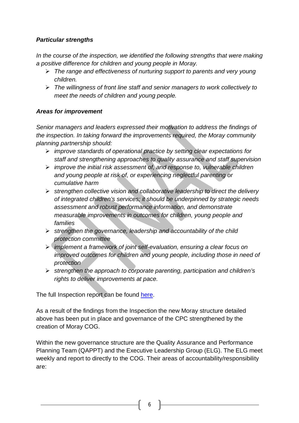#### *Particular strengths*

In the course of the inspection, we identified the following strengths that were making *a positive difference for children and young people in Moray.*

- *The range and effectiveness of nurturing support to parents and very young children.*
- *The willingness of front line staff and senior managers to work collectively to meet the needs of children and young people.*

#### *Areas for improvement*

*Senior managers and leaders expressed their motivation to address the findings of the inspection. In taking forward the improvements required, the Moray community planning partnership should:*

- *improve standards of operational practice by setting clear expectations for staff and strengthening approaches to quality assurance and staff supervision*
- *improve the initial risk assessment of, and response to, vulnerable children and young people at risk of, or experiencing neglectful parenting or cumulative harm*
- *strengthen collective vision and collaborative leadership to direct the delivery of integrated children's services; it should be underpinned by strategic needs assessment and robust performance information, and demonstrate measurable improvements in outcomes for children, young people and families*
- *strengthen the governance, leadership and accountability of the child protection committee*
- *implement a framework of joint self-evaluation, ensuring a clear focus on improved outcomes for children and young people, including those in need of protection*
- *strengthen the approach to corporate parenting, participation and children's rights to deliver improvements at pace.*

The full Inspection report can be found here.

As a result of the findings from the Inspection the new Moray structure detailed above has been put in place and governance of the CPC strengthened by the creation of Moray COG.

Within the new governance structure are the Quality Assurance and Performance Planning Team (QAPPT) and the Executive Leadership Group (ELG). The ELG meet weekly and report to directly to the COG. Their areas of accountability/responsibility are: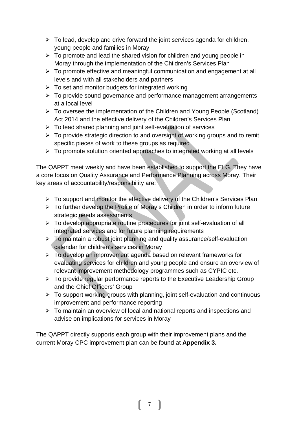- $\triangleright$  To lead, develop and drive forward the joint services agenda for children, young people and families in Moray
- $\triangleright$  To promote and lead the shared vision for children and young people in Moray through the implementation of the Children's Services Plan
- $\triangleright$  To promote effective and meaningful communication and engagement at all levels and with all stakeholders and partners
- $\triangleright$  To set and monitor budgets for integrated working
- $\triangleright$  To provide sound governance and performance management arrangements at a local level
- To oversee the implementation of the Children and Young People (Scotland) Act 2014 and the effective delivery of the Children's Services Plan
- $\triangleright$  To lead shared planning and joint self-evaluation of services
- $\triangleright$  To provide strategic direction to and oversight of working groups and to remit specific pieces of work to these groups as required
- $\triangleright$  To promote solution oriented approaches to integrated working at all levels

The QAPPT meet weekly and have been established to support the ELG. They have a core focus on Quality Assurance and Performance Planning across Moray. Their key areas of accountability/responsibility are:

- $\triangleright$  To support and monitor the effective delivery of the Children's Services Plan
- $\triangleright$  To further develop the Profile of Moray's Children in order to inform future strategic needs assessments
- $\triangleright$  To develop appropriate routine procedures for joint self-evaluation of all integrated services and for future planning requirements
- $\triangleright$  To maintain a robust joint planning and quality assurance/self-evaluation calendar for children's services in Moray
- $\triangleright$  To develop an improvement agenda based on relevant frameworks for evaluating services for children and young people and ensure an overview of relevant improvement methodology programmes such as CYPIC etc.
- $\triangleright$  To provide regular performance reports to the Executive Leadership Group and the Chief Officers' Group
- $\triangleright$  To support working groups with planning, joint self-evaluation and continuous improvement and performance reporting
- $\triangleright$  To maintain an overview of local and national reports and inspections and advise on implications for services in Moray

The QAPPT directly supports each group with their improvement plans and the current Moray CPC improvement plan can be found at **Appendix 3.**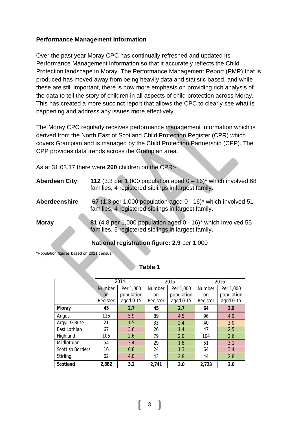#### **Performance Management Information**

Over the past year Moray CPC has continually refreshed and updated its Performance Management information so that it accurately reflects the Child Protection landscape in Moray. The Performance Management Report (PMR) that is produced has moved away from being heavily data and statistic based, and while these are still important, there is now more emphasis on providing rich analysis of the data to tell the story of children in all aspects of child protection across Moray. This has created a more succinct report that allows the CPC to clearly see what is happening and address any issues more effectively.

The Moray CPC regularly receives performance management information which is derived from the North East of Scotland Child Protection Register (CPR) which covers Grampian and is managed by the Child Protection Partnership (CPP). The CPP provides data trends across the Grampian area.

As at 31.03.17 there were **260** children on the CPR:-

| <b>Aberdeen City</b> | 112 (3.3 per 1,000 population aged $0 - 16$ )* which involved 68<br>families, 4 registered siblings in largest family. |
|----------------------|------------------------------------------------------------------------------------------------------------------------|
| Aberdeenshire        | 67 (1.3 per 1,000 population aged $0 - 16$ )* which involved 51<br>families, 4 registered siblings in largest family.  |
| <b>Moray</b>         | 81 (4.8 per 1,000 population aged 0 - 16)* which involved 55<br>families, 5 registered siblings in largest family.     |

#### **National registration figure: 2.9** per 1,000

\*Population figures based on 2011 census

**Table 1**

|                         | 2014      |            |                            | 2015       | 2016          |            |
|-------------------------|-----------|------------|----------------------------|------------|---------------|------------|
|                         | Number    | Per 1,000  | <b>Number</b><br>Per 1,000 |            | <b>Number</b> | Per 1,000  |
|                         | <b>on</b> | population | on                         | population | on            | population |
|                         | Register  | aged 0-15  | Register                   | aged 0-15  | Register      | aged 0-15  |
| <b>Moray</b>            | 45        | 2.7        | 45                         | 2.7        | 64            | 3.9        |
| Angus                   | 116       | 5.9        | 89                         | 4.5        | 96            | 4.9        |
| Argyll & Bute           | 21        | 1.5        | 33                         | 2.4        | 40            | 3.0        |
| East Lothian            | 67        | 3.6        | 26                         | 1.4        | 47            | 2.5        |
| Highland                | 106       | 2.6        | 79                         | 2.0        | 104           | 2.6        |
| Midlothian              | 54        | 3.4        | 29                         | 1.8        | 51            | 3.1        |
| <b>Scottish Borders</b> | 16        | 0.8        | 24                         | 1.3        | 64            | 3.4        |
| Stirling                | 62        | 4.0        | 43                         | 2.8        | 44            | 2.8        |
| <b>Scotland</b>         | 2,882     | 3.2        | 2,741                      | 3.0        | 2,723         | 3.0        |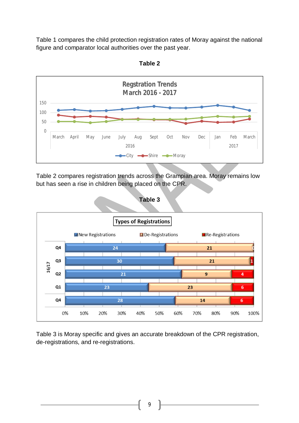Table 1 compares the child protection registration rates of Moray against the national figure and comparator local authorities over the past year.



**Table 2**

Table 2 compares registration trends across the Grampian area. Moray remains low but has seen a rise in children being placed on the CPR.



Table 3 is Moray specific and gives an accurate breakdown of the CPR registration, de-registrations, and re-registrations.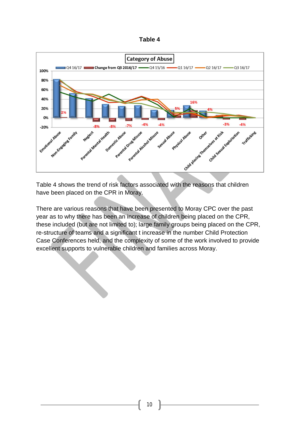



Table 4 shows the trend of risk factors associated with the reasons that children have been placed on the CPR in Moray.

There are various reasons that have been presented to Moray CPC over the past year as to why there has been an increase of children being placed on the CPR, these included (but are not limited to); large family groups being placed on the CPR, re-structure of teams and a significant t increase in the number Child Protection Case Conferences held, and the complexity of some of the work involved to provide excellent supports to vulnerable children and families across Moray.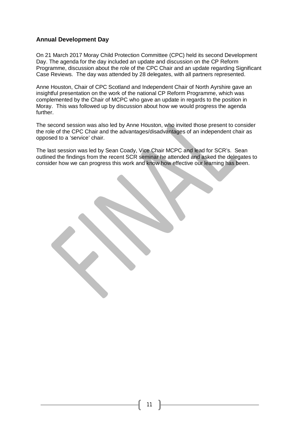#### **Annual Development Day**

On 21 March 2017 Moray Child Protection Committee (CPC) held its second Development Day. The agenda for the day included an update and discussion on the CP Reform Programme, discussion about the role of the CPC Chair and an update regarding Significant Case Reviews. The day was attended by 28 delegates, with all partners represented.

Anne Houston, Chair of CPC Scotland and Independent Chair of North Ayrshire gave an insightful presentation on the work of the national CP Reform Programme, which was complemented by the Chair of MCPC who gave an update in regards to the position in Moray. This was followed up by discussion about how we would progress the agenda further.

The second session was also led by Anne Houston, who invited those present to consider the role of the CPC Chair and the advantages/disadvantages of an independent chair as opposed to a 'service' chair.

The last session was led by Sean Coady, Vice Chair MCPC and lead for SCR's. Sean outlined the findings from the recent SCR seminar he attended and asked the delegates to consider how we can progress this work and know how effective our learning has been.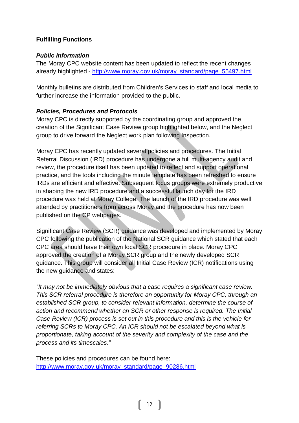#### **Fulfilling Functions**

#### *Public Information*

The Moray CPC website content has been updated to reflect the recent changes already highlighted - http://www.moray.gov.uk/moray\_standard/page\_55497.html

Monthly bulletins are distributed from Children's Services to staff and local media to further increase the information provided to the public.

#### *Policies, Procedures and Protocols*

Moray CPC is directly supported by the coordinating group and approved the creation of the Significant Case Review group highlighted below, and the Neglect group to drive forward the Neglect work plan following Inspection.

Moray CPC has recently updated several policies and procedures. The Initial Referral Discussion (IRD) procedure has undergone a full multi-agency audit and review, the procedure itself has been updated to reflect and support operational practice, and the tools including the minute template has been refreshed to ensure IRDs are efficient and effective. Subsequent focus groups were extremely productive in shaping the new IRD procedure and a successful launch day for the IRD procedure was held at Moray College. The launch of the IRD procedure was well attended by practitioners from across Moray and the procedure has now been published on the CP webpages.

Significant Case Review (SCR) guidance was developed and implemented by Moray CPC following the publication of the National SCR guidance which stated that each CPC area should have their own local SCR procedure in place. Moray CPC approved the creation of a Moray SCR group and the newly developed SCR guidance. This group will consider all Initial Case Review (ICR) notifications using the new guidance and states:

*"It may not be immediately obvious that a case requires a significant case review. This SCR referral procedure is therefore an opportunity for Moray CPC, through an established SCR group, to consider relevant information, determine the course of action and recommend whether an SCR or other response is required. The Initial Case Review (ICR) process is set out in this procedure and this is the vehicle for referring SCRs to Moray CPC. An ICR should not be escalated beyond what is proportionate, taking account of the severity and complexity of the case and the process and its timescales."*

These policies and procedures can be found here: http://www.moray.gov.uk/moray\_standard/page\_90286.html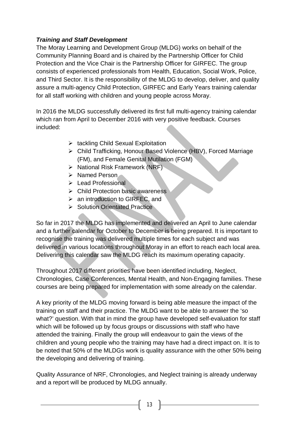#### *Training and Staff Development*

The Moray Learning and Development Group (MLDG) works on behalf of the Community Planning Board and is chaired by the Partnership Officer for Child Protection and the Vice Chair is the Partnership Officer for GIRFEC. The group consists of experienced professionals from Health, Education, Social Work, Police, and Third Sector. It is the responsibility of the MLDG to develop, deliver, and quality assure a multi-agency Child Protection, GIRFEC and Early Years training calendar for all staff working with children and young people across Moray.

In 2016 the MLDG successfully delivered its first full multi-agency training calendar which ran from April to December 2016 with very positive feedback. Courses included:

- $\triangleright$  tackling Child Sexual Exploitation
- Child Trafficking, Honour Based Violence (HBV), Forced Marriage (FM), and Female Genital Mutilation (FGM)
- $\triangleright$  National Risk Framework (NRF)
- $\triangleright$  Named Person
- $\triangleright$  Lead Professional
- $\triangleright$  Child Protection basic awareness
- $\triangleright$  an introduction to GIRFEC, and
- $\triangleright$  Solution Orientated Practice

So far in 2017 the MLDG has implemented and delivered an April to June calendar and a further calendar for October to December is being prepared. It is important to recognise the training was delivered multiple times for each subject and was delivered in various locations throughout Moray in an effort to reach each local area. Delivering this calendar saw the MLDG reach its maximum operating capacity.

Throughout 2017 different priorities have been identified including, Neglect, Chronologies, Case Conferences, Mental Health, and Non-Engaging families. These courses are being prepared for implementation with some already on the calendar.

A key priority of the MLDG moving forward is being able measure the impact of the training on staff and their practice. The MLDG want to be able to answer the 'so what?' question. With that in mind the group have developed self-evaluation for staff which will be followed up by focus groups or discussions with staff who have attended the training. Finally the group will endeavour to gain the views of the children and young people who the training may have had a direct impact on. It is to be noted that 50% of the MLDGs work is quality assurance with the other 50% being the developing and delivering of training.

Quality Assurance of NRF, Chronologies, and Neglect training is already underway and a report will be produced by MLDG annually.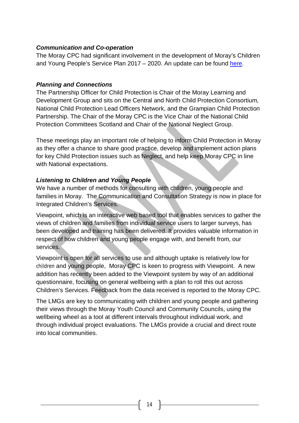#### *Communication and Co-operation*

The Moray CPC had significant involvement in the development of Moray's Children and Young People's Service Plan 2017 – 2020. An update can be found here.

#### *Planning and Connections*

The Partnership Officer for Child Protection is Chair of the Moray Learning and Development Group and sits on the Central and North Child Protection Consortium, National Child Protection Lead Officers Network, and the Grampian Child Protection Partnership. The Chair of the Moray CPC is the Vice Chair of the National Child Protection Committees Scotland and Chair of the National Neglect Group.

These meetings play an important role of helping to inform Child Protection in Moray as they offer a chance to share good practice, develop and implement action plans for key Child Protection issues such as Neglect, and help keep Moray CPC in line with National expectations.

#### *Listening to Children and Young People*

We have a number of methods for consulting with children, young people and families in Moray. The Communication and Consultation Strategy is now in place for Integrated Children's Services.

Viewpoint, which is an interactive web based tool that enables services to gather the views of children and families from individual service users to larger surveys, has been developed and training has been delivered. It provides valuable information in respect of how children and young people engage with, and benefit from, our services.

Viewpoint is open for all services to use and although uptake is relatively low for children and young people, Moray CPC is keen to progress with Viewpoint. A new addition has recently been added to the Viewpoint system by way of an additional questionnaire, focusing on general wellbeing with a plan to roll this out across Children's Services. Feedback from the data received is reported to the Moray CPC.

The LMGs are key to communicating with children and young people and gathering their views through the Moray Youth Council and Community Councils, using the wellbeing wheel as a tool at different intervals throughout individual work, and through individual project evaluations. The LMGs provide a crucial and direct route into local communities.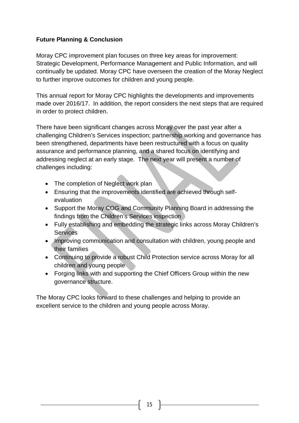#### **Future Planning & Conclusion**

Moray CPC improvement plan focuses on three key areas for improvement: Strategic Development, Performance Management and Public Information, and will continually be updated. Moray CPC have overseen the creation of the Moray Neglect to further improve outcomes for children and young people.

This annual report for Moray CPC highlights the developments and improvements made over 2016/17. In addition, the report considers the next steps that are required in order to protect children.

There have been significant changes across Moray over the past year after a challenging Children's Services inspection; partnership working and governance has been strengthened, departments have been restructured with a focus on quality assurance and performance planning, and a shared focus on identifying and addressing neglect at an early stage. The next year will present a number of challenges including:

- The completion of Neglect work plan
- Ensuring that the improvements identified are achieved through selfevaluation
- Support the Moray COG and Community Planning Board in addressing the findings from the Children's Services inspection
- Fully establishing and embedding the strategic links across Moray Children's **Services**
- Improving communication and consultation with children, young people and their families
- Continuing to provide a robust Child Protection service across Moray for all children and young people
- Forging links with and supporting the Chief Officers Group within the new governance structure.

The Moray CPC looks forward to these challenges and helping to provide an excellent service to the children and young people across Moray.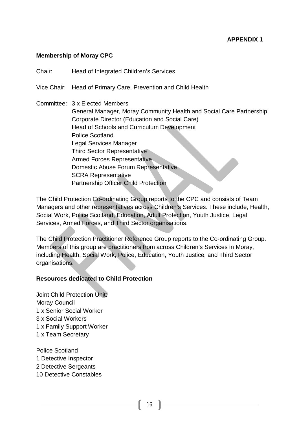#### **Membership of Moray CPC**

Chair: Head of Integrated Children's Services

Vice Chair: Head of Primary Care, Prevention and Child Health

Committee: 3 x Elected Members General Manager, Moray Community Health and Social Care Partnership Corporate Director (Education and Social Care) Head of Schools and Curriculum Development Police Scotland Legal Services Manager Third Sector Representative Armed Forces Representative Domestic Abuse Forum Representative SCRA Representative Partnership Officer Child Protection

The Child Protection Co-ordinating Group reports to the CPC and consists of Team Managers and other representatives across Children's Services. These include, Health, Social Work, Police Scotland, Education, Adult Protection, Youth Justice, Legal Services, Armed Forces, and Third Sector organisations.

The Child Protection Practitioner Reference Group reports to the Co-ordinating Group. Members of this group are practitioners from across Children's Services in Moray, including Health, Social Work, Police, Education, Youth Justice, and Third Sector organisations.

#### **Resources dedicated to Child Protection**

Joint Child Protection Unit: Moray Council 1 x Senior Social Worker 3 x Social Workers 1 x Family Support Worker 1 x Team Secretary

Police Scotland 1 Detective Inspector

- 2 Detective Sergeants
- 10 Detective Constables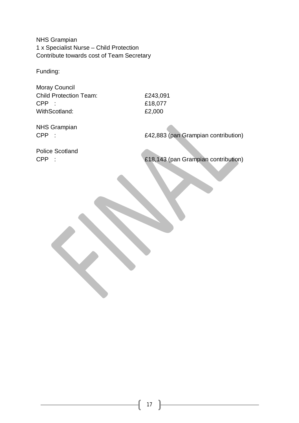NHS Grampian 1 x Specialist Nurse – Child Protection Contribute towards cost of Team Secretary

Funding:

Moray Council Child Protection Team: £243,091 CPP : £18,077 WithScotland: £2,000

NHS Grampian

CPP : £42,883 (pan Grampian contribution)

Police Scotland

CPP : £18,143 (pan Grampian contribution)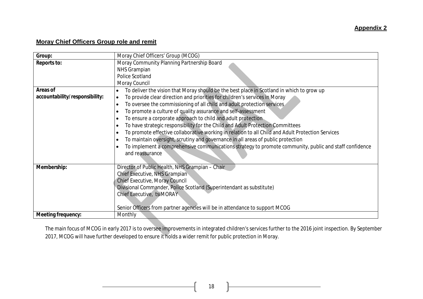#### **Moray Chief Officers Group role and remit**

| Group:                                            | Moray Chief Officers' Group (MCOG)                                                                                                                                                                                                                                                                                                                                                                                                                                                                                                                                                                                                                                                                                                                                                                                                                          |
|---------------------------------------------------|-------------------------------------------------------------------------------------------------------------------------------------------------------------------------------------------------------------------------------------------------------------------------------------------------------------------------------------------------------------------------------------------------------------------------------------------------------------------------------------------------------------------------------------------------------------------------------------------------------------------------------------------------------------------------------------------------------------------------------------------------------------------------------------------------------------------------------------------------------------|
| <b>Reports to:</b>                                | Moray Community Planning Partnership Board<br><b>NHS Grampian</b><br>Police Scotland<br>Moray Council                                                                                                                                                                                                                                                                                                                                                                                                                                                                                                                                                                                                                                                                                                                                                       |
| <b>Areas of</b><br>accountability/responsibility: | To deliver the vision that Moray should be the best place in Scotland in which to grow up<br>$\bullet$<br>To provide clear direction and priorities for children's services in Moray<br>$\bullet$<br>To oversee the commissioning of all child and adult protection services<br>$\bullet$<br>To promote a culture of quality assurance and self-assessment<br>٠<br>To ensure a corporate approach to child and adult protection<br>٠<br>To have strategic responsibility for the Child and Adult Protection Committees<br>٠<br>To promote effective collaborative working in relation to all Child and Adult Protection Services<br>٠<br>To maintain oversight, scrutiny and governance in all areas of public protection<br>٠<br>To implement a comprehensive communications strategy to promote community, public and staff confidence<br>and reassurance |
| Membership:                                       | Director of Public Health, NHS Grampian - Chair<br>Chief Executive, NHS Grampian<br>Chief Executive, Moray Council<br>Divisional Commander, Police Scotland (Superintendant as substitute)<br>Chief Executive, tsiMORAY<br>Senior Officers from partner agencies will be in attendance to support MCOG                                                                                                                                                                                                                                                                                                                                                                                                                                                                                                                                                      |
| <b>Meeting frequency:</b>                         | Monthly                                                                                                                                                                                                                                                                                                                                                                                                                                                                                                                                                                                                                                                                                                                                                                                                                                                     |

The main focus of MCOG in early 2017 is to oversee improvements in integrated children's services further to the 2016 joint inspection. By September 2017, MCOG will have further developed to ensure it holds a wider remit for public protection in Moray.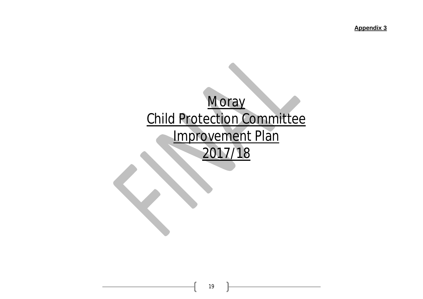**Appendix 3**

# **Moray** Child Protection Committee Improvement Plan 2017/18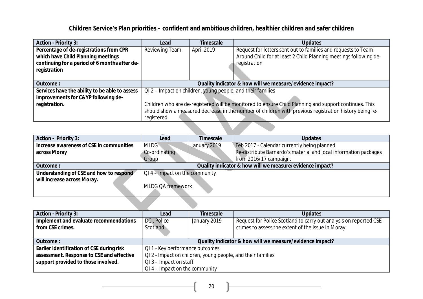## **Children Service's Plan priorities – confident and ambitious children, healthier children and safer children**

| <b>Action - Priority 3:</b>                    | <b>Timescale</b><br><b>Updates</b><br>Lead                                                             |                                                                             |                                                                   |  |  |
|------------------------------------------------|--------------------------------------------------------------------------------------------------------|-----------------------------------------------------------------------------|-------------------------------------------------------------------|--|--|
| Percentage of de-registrations from CPR        | Reviewing Team                                                                                         | Request for letters sent out to families and requests to Team<br>April 2019 |                                                                   |  |  |
| which have Child Planning meetings             |                                                                                                        |                                                                             | Around Child for at least 2 Child Planning meetings following de- |  |  |
| continuing for a period of 6 months after de-  |                                                                                                        |                                                                             | registration                                                      |  |  |
| registration                                   |                                                                                                        |                                                                             |                                                                   |  |  |
|                                                |                                                                                                        |                                                                             |                                                                   |  |  |
| Outcome:                                       |                                                                                                        | Quality indicator & how will we measure/evidence impact?                    |                                                                   |  |  |
| Services have the ability to be able to assess | QI 2 – Impact on children, young people, and their families                                            |                                                                             |                                                                   |  |  |
| improvements for C&YP following de-            |                                                                                                        |                                                                             |                                                                   |  |  |
| registration.                                  | Children who are de-registered will be monitored to ensure Child Planning and support continues. This  |                                                                             |                                                                   |  |  |
|                                                | should show a measured decrease in the number of children with previous registration history being re- |                                                                             |                                                                   |  |  |
|                                                | registered.                                                                                            |                                                                             |                                                                   |  |  |
|                                                |                                                                                                        |                                                                             |                                                                   |  |  |

| <b>Action - Priority 3:</b>              | Lead                                                     | <b>Timescale</b> | <b>Updates</b>                                                   |  |
|------------------------------------------|----------------------------------------------------------|------------------|------------------------------------------------------------------|--|
| Increase awareness of CSE in communities | <b>MLDG</b>                                              | January 2019     | Feb 2017 - Calendar currently being planned                      |  |
| across Moray                             | Co-ordinating                                            |                  | Re-distribute Barnardo's material and local information packages |  |
|                                          | Group                                                    |                  | from 2016/17 campaign.                                           |  |
| Outcome:                                 | Quality indicator & how will we measure/evidence impact? |                  |                                                                  |  |
| Understanding of CSE and how to respond  | $QI$ 4 – Impact on the community                         |                  |                                                                  |  |
| will increase across Moray.              |                                                          |                  |                                                                  |  |
|                                          | <b>MLDG QA framework</b>                                 |                  |                                                                  |  |
|                                          |                                                          |                  |                                                                  |  |
|                                          |                                                          |                  |                                                                  |  |

| <b>Action - Priority 3:</b>               | Lead                                                        | Timescale                                                                         | <b>Updates</b>                                     |  |
|-------------------------------------------|-------------------------------------------------------------|-----------------------------------------------------------------------------------|----------------------------------------------------|--|
| Implement and evaluate recommendations    | DCI, Police                                                 | Request for Police Scotland to carry out analysis on reported CSE<br>January 2019 |                                                    |  |
| from CSE crimes.                          | Scotland                                                    |                                                                                   | crimes to assess the extent of the issue in Moray. |  |
|                                           |                                                             |                                                                                   |                                                    |  |
| Outcome:                                  | Quality indicator & how will we measure/evidence impact?    |                                                                                   |                                                    |  |
| Earlier identification of CSE during risk | QI 1 - Key performance outcomes                             |                                                                                   |                                                    |  |
| assessment. Response to CSE and effective | QI 2 - Impact on children, young people, and their families |                                                                                   |                                                    |  |
| support provided to those involved.       | $QI$ 3 – Impact on staff                                    |                                                                                   |                                                    |  |
|                                           | $QI$ 4 – Impact on the community                            |                                                                                   |                                                    |  |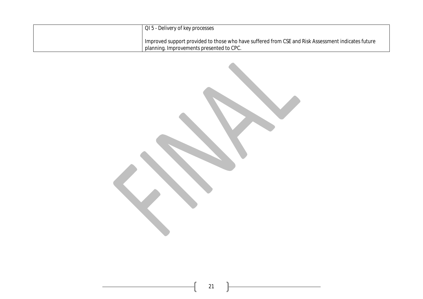| QI 5 - Delivery of key processes                                                                                                               |
|------------------------------------------------------------------------------------------------------------------------------------------------|
| Improved support provided to those who have suffered from CSE and Risk Assessment indicates future<br>planning. Improvements presented to CPC. |

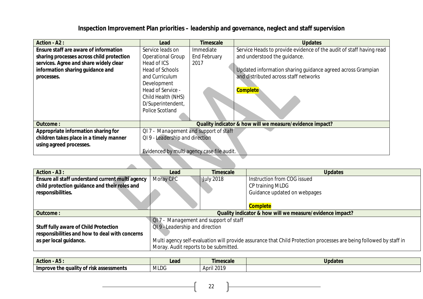## **Inspection Improvement Plan priorities – leadership and governance, neglect and staff supervision**

| <b>Action - A2:</b>                       | Lead                                       | <b>Timescale</b>    | <b>Updates</b>                                                      |  |
|-------------------------------------------|--------------------------------------------|---------------------|---------------------------------------------------------------------|--|
| Ensure staff are aware of information     | Service leads on                           | Immediate           | Service Heads to provide evidence of the audit of staff having read |  |
| sharing processes across child protection | <b>Operational Group</b>                   | <b>End February</b> | and understood the quidance.                                        |  |
| services. Agree and share widely clear    | Head of ICS                                | 2017                |                                                                     |  |
| information sharing guidance and          | Head of Schools                            |                     | Updated information sharing guidance agreed across Grampian         |  |
| processes.                                | and Curriculum                             |                     | and distributed across staff networks                               |  |
|                                           | Development                                |                     |                                                                     |  |
|                                           | Head of Service -                          |                     | <b>Complete</b>                                                     |  |
|                                           | Child Health (NHS)                         |                     |                                                                     |  |
|                                           | D/Superintendent,                          |                     |                                                                     |  |
|                                           | <b>Police Scotland</b>                     |                     |                                                                     |  |
|                                           |                                            |                     |                                                                     |  |
| <b>Outcome:</b>                           |                                            |                     | Quality indicator & how will we measure/evidence impact?            |  |
| Appropriate information sharing for       | QI 7 - Management and support of staff     |                     |                                                                     |  |
| children takes place in a timely manner   | QI 9 - Leadership and direction            |                     |                                                                     |  |
| using agreed processes.                   |                                            |                     |                                                                     |  |
|                                           | Evidenced by multi agency case file audit. |                     |                                                                     |  |
|                                           |                                            |                     |                                                                     |  |
|                                           |                                            |                     |                                                                     |  |

| <b>Action - A3:</b>                              | Lead                                                                                                               | <b>Timescale</b>                      | <b>Updates</b>               |  |
|--------------------------------------------------|--------------------------------------------------------------------------------------------------------------------|---------------------------------------|------------------------------|--|
| Ensure all staff understand current multi agency | Moray CPC                                                                                                          | <b>July 2018</b>                      | Instruction from COG issued  |  |
| child protection guidance and their roles and    |                                                                                                                    |                                       | CP training MLDG             |  |
| responsibilities.                                |                                                                                                                    |                                       | Guidance updated on webpages |  |
|                                                  |                                                                                                                    |                                       |                              |  |
|                                                  |                                                                                                                    |                                       | <b>Complete</b>              |  |
| Outcome:                                         | Quality indicator & how will we measure/evidence impact?                                                           |                                       |                              |  |
|                                                  |                                                                                                                    | QI7 - Management and support of staff |                              |  |
| <b>Stuff fully aware of Child Protection</b>     | QI 9 - Leadership and direction                                                                                    |                                       |                              |  |
| responsibilities and how to deal with concerns   |                                                                                                                    |                                       |                              |  |
| as per local guidance.                           | Multi agency self-evaluation will provide assurance that Child Protection processes are being followed by staff in |                                       |                              |  |
|                                                  | Moray. Audit reports to be submitted.                                                                              |                                       |                              |  |

| <b>Action</b><br>'NJ.                                    | Lead        | imescale                  | <b>Updates</b> |
|----------------------------------------------------------|-------------|---------------------------|----------------|
| v of risk assessments<br><b>Improve</b><br>: the quality | <b>MLDG</b> | 'I 2014<br>- April 20 i . |                |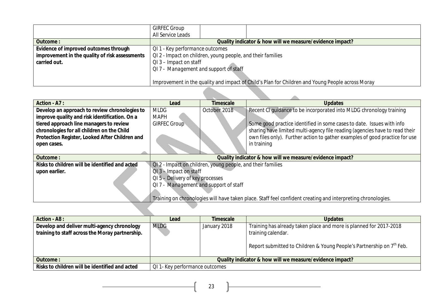|                                                | <b>GIRFEC Group</b>                                                                              |                                                          |  |  |  |
|------------------------------------------------|--------------------------------------------------------------------------------------------------|----------------------------------------------------------|--|--|--|
|                                                | All Service Leads                                                                                |                                                          |  |  |  |
| Outcome:                                       |                                                                                                  | Quality indicator & how will we measure/evidence impact? |  |  |  |
| Evidence of improved outcomes through          | QI 1 - Key performance outcomes                                                                  |                                                          |  |  |  |
| improvement in the quality of risk assessments | QI 2 - Impact on children, young people, and their families                                      |                                                          |  |  |  |
| carried out.                                   | $QI$ 3 – Impact on staff                                                                         |                                                          |  |  |  |
|                                                |                                                                                                  | QI 7 - Management and support of staff                   |  |  |  |
|                                                |                                                                                                  |                                                          |  |  |  |
|                                                | Improvement in the quality and impact of Child's Plan for Children and Young People across Moray |                                                          |  |  |  |
|                                                |                                                                                                  |                                                          |  |  |  |
|                                                |                                                                                                  |                                                          |  |  |  |

| <b>Action - A7:</b>                            | Lead                                                                                                         | Timescale    | <b>Updates</b>                                                              |  |
|------------------------------------------------|--------------------------------------------------------------------------------------------------------------|--------------|-----------------------------------------------------------------------------|--|
| Develop an approach to review chronologies to  | <b>MLDG</b>                                                                                                  | October 2018 | Recent CI quidance to be incorporated into MLDG chronology training         |  |
| improve quality and risk identification. On a  | <b>MAPH</b>                                                                                                  |              |                                                                             |  |
| tiered approach line managers to review        | <b>GIRFEC Group</b>                                                                                          |              | Some good practice identified in some cases to date. Issues with info       |  |
| chronologies for all children on the Child     |                                                                                                              |              | sharing have limited multi-agency file reading (agencies have to read their |  |
| Protection Register, Looked After Children and |                                                                                                              |              | own files only). Further action to gather examples of good practice for use |  |
| open cases.                                    |                                                                                                              |              | in training                                                                 |  |
|                                                |                                                                                                              |              |                                                                             |  |
| Outcome:                                       | Quality indicator & how will we measure/evidence impact?                                                     |              |                                                                             |  |
| Risks to children will be identified and acted | QI2 - Impact on children, young people, and their families                                                   |              |                                                                             |  |
| upon earlier.                                  | QI 3 - Impact on staff                                                                                       |              |                                                                             |  |
|                                                | QI 5 - Delivery of key processes                                                                             |              |                                                                             |  |
|                                                | QI 7 - Management and support of staff                                                                       |              |                                                                             |  |
|                                                |                                                                                                              |              |                                                                             |  |
|                                                | Training on chronologies will have taken place. Staff feel confident creating and interpreting chronologies. |              |                                                                             |  |
|                                                |                                                                                                              |              |                                                                             |  |
|                                                |                                                                                                              |              |                                                                             |  |
| $\mathbf{A}$                                   | .                                                                                                            | $-1$         | .                                                                           |  |

| <b>Action - A8:</b>                                                                            | Lead                                                     | <b>Timescale</b> | <b>Updates</b>                                                                                                                                                                |
|------------------------------------------------------------------------------------------------|----------------------------------------------------------|------------------|-------------------------------------------------------------------------------------------------------------------------------------------------------------------------------|
| Develop and deliver multi-agency chronology<br>training to staff across the Moray partnership. | <b>MLDG</b>                                              | January 2018     | Training has already taken place and more is planned for 2017-2018<br>training calendar.<br>Report submitted to Children & Young People's Partnership on 7 <sup>th</sup> Feb. |
| Outcome:                                                                                       | Quality indicator & how will we measure/evidence impact? |                  |                                                                                                                                                                               |
| Risks to children will be identified and acted                                                 | QI 1- Key performance outcomes                           |                  |                                                                                                                                                                               |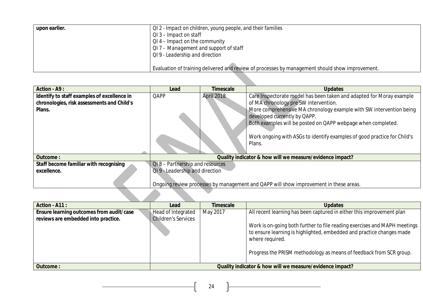| upon earlier. | QI 2 - Impact on children, young people, and their families                                     |  |  |
|---------------|-------------------------------------------------------------------------------------------------|--|--|
|               | $QI$ 3 – Impact on staff                                                                        |  |  |
|               | $QI$ 4 – Impact on the community                                                                |  |  |
|               | QI 7 - Management and support of staff                                                          |  |  |
|               | QI 9 - Leadership and direction                                                                 |  |  |
|               |                                                                                                 |  |  |
|               | Evaluation of training delivered and review of processes by management should show improvement. |  |  |

| <b>Action - A9:</b>                         | Lead                               | <b>Timescale</b> | <b>Updates</b>                                                                        |
|---------------------------------------------|------------------------------------|------------------|---------------------------------------------------------------------------------------|
| Identify to staff examples of excellence in | QAPP                               | April 2018       | Care Inspectorate model has been taken and adapted for Moray example                  |
| chronologies, risk assessments and Child's  |                                    |                  | of MA chronology pre SW intervention.                                                 |
| Plans.                                      |                                    |                  | More comprehensive MA chronology example with SW intervention being                   |
|                                             |                                    |                  | developed currently by QAPP.                                                          |
|                                             |                                    |                  | Both examples will be posted on QAPP webpage when completed.                          |
|                                             |                                    |                  |                                                                                       |
|                                             |                                    |                  | Work ongoing with ASGs to identify examples of good practice for Child's              |
|                                             |                                    |                  | Plans.                                                                                |
|                                             |                                    |                  |                                                                                       |
| Outcome:                                    |                                    |                  | Quality indicator & how will we measure/evidence impact?                              |
| Staff become familiar with recognising      | $QI.8$ – Partnership and resources |                  |                                                                                       |
| excellence.                                 | QI 9 - Leadership and direction    |                  |                                                                                       |
|                                             |                                    |                  |                                                                                       |
|                                             |                                    |                  | Ongoing review processes by management and QAPP will show improvement in these areas. |
|                                             |                                    |                  |                                                                                       |
|                                             |                                    |                  |                                                                                       |

| Action - A11 :                           | Lead                                                     | <b>Timescale</b> | <b>Updates</b>                                                                                                                                                        |
|------------------------------------------|----------------------------------------------------------|------------------|-----------------------------------------------------------------------------------------------------------------------------------------------------------------------|
| Ensure learning outcomes from audit/case | Head of Integrated                                       | May 2017         | All recent learning has been captured in either this improvement plan                                                                                                 |
| reviews are embedded into practice.      | <b>Children's Services</b>                               |                  |                                                                                                                                                                       |
|                                          |                                                          |                  | Work is on-going both further to file reading exercises and MAPH meetings<br>to ensure learning is highlighted, embedded and practice changes made<br>where required. |
|                                          |                                                          |                  | Progress the PRISM methodology as means of feedback from SCR group.                                                                                                   |
| <b>Outcome:</b>                          | Quality indicator & how will we measure/evidence impact? |                  |                                                                                                                                                                       |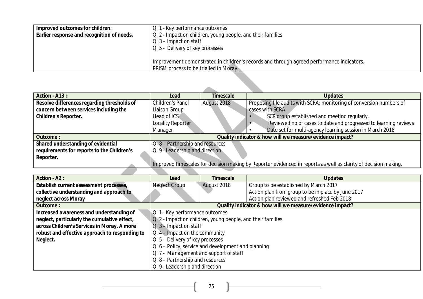| Improved outcomes for children.            | QI 1 - Key performance outcomes                                                           |  |  |  |
|--------------------------------------------|-------------------------------------------------------------------------------------------|--|--|--|
| Earlier response and recognition of needs. | QI 2 - Impact on children, young people, and their families                               |  |  |  |
|                                            | QI 3 – Impact on staff                                                                    |  |  |  |
|                                            | QI 5 - Delivery of key processes                                                          |  |  |  |
|                                            |                                                                                           |  |  |  |
|                                            | Improvement demonstrated in children's records and through agreed performance indicators. |  |  |  |
|                                            | PRISM process to be trialled in Moray.                                                    |  |  |  |

| Action - A13:                               | Lead                                                     | <b>Timescale</b> | <b>Updates</b>                                                                                                  |
|---------------------------------------------|----------------------------------------------------------|------------------|-----------------------------------------------------------------------------------------------------------------|
| Resolve differences regarding thresholds of | Children's Panel                                         | August 2018      | Proposing file audits with SCRA; monitoring of conversion numbers of                                            |
| concern between services including the      | Liaison Group                                            |                  | cases with SCRA                                                                                                 |
| <b>Children's Reporter.</b>                 | Head of ICS                                              |                  | SCR group established and meeting regularly.                                                                    |
|                                             | Locality Reporter                                        |                  | Reviewed no of cases to date and progressed to learning reviews                                                 |
|                                             | Manager                                                  |                  | Date set for multi-agency learning session in March 2018                                                        |
| <b>Outcome:</b>                             | Quality indicator & how will we measure/evidence impact? |                  |                                                                                                                 |
| Shared understanding of evidential          | QI8-Partnership and resources                            |                  |                                                                                                                 |
| requirements for reports to the Children's  | QI 9 - Leadership and direction                          |                  |                                                                                                                 |
| Reporter.                                   |                                                          |                  |                                                                                                                 |
|                                             |                                                          |                  | Improved timescales for decision making by Reporter evidenced in reports as well as clarity of decision making. |
|                                             |                                                          |                  |                                                                                                                 |

| <b>Action - A2:</b>                            | Lead                                                | Timescale                                                  | <b>Updates</b>                                           |  |
|------------------------------------------------|-----------------------------------------------------|------------------------------------------------------------|----------------------------------------------------------|--|
| Establish current assessment processes,        | <b>Neglect Group</b>                                | August 2018                                                | Group to be established by March 2017                    |  |
| collective understanding and approach to       |                                                     |                                                            | Action plan from group to be in place by June 2017       |  |
| neglect across Moray                           |                                                     |                                                            | Action plan reviewed and refreshed Feb 2018              |  |
| <b>Outcome:</b>                                |                                                     |                                                            | Quality indicator & how will we measure/evidence impact? |  |
| Increased awareness and understanding of       |                                                     | QI 1 - Key performance outcomes                            |                                                          |  |
| neglect, particularly the cumulative effect,   |                                                     | QI2 - Impact on children, young people, and their families |                                                          |  |
| across Children's Services in Moray. A more    | $QI$ 3 – Impact on staff                            |                                                            |                                                          |  |
| robust and effective approach to responding to | $QI$ 4 – Impact on the community                    |                                                            |                                                          |  |
| Neglect.                                       | QI 5 – Delivery of key processes                    |                                                            |                                                          |  |
|                                                | QI 6 - Policy, service and development and planning |                                                            |                                                          |  |
|                                                | QI 7 - Management and support of staff              |                                                            |                                                          |  |
|                                                | QI 8 - Partnership and resources                    |                                                            |                                                          |  |
|                                                | QI 9 - Leadership and direction                     |                                                            |                                                          |  |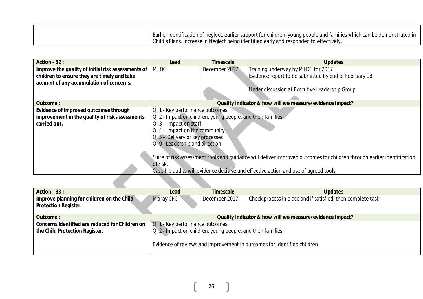| Earlier identification of neglect, earlier support for children, young people and families which can be demonstrated in |
|-------------------------------------------------------------------------------------------------------------------------|
| Child's Plans. Increase in Neglect being identified early and responded to effectively.                                 |

| <b>Action - B2:</b>                                | Lead                                                                                                                   | Timescale                        | <b>Updates</b>                                                                        |  |  |
|----------------------------------------------------|------------------------------------------------------------------------------------------------------------------------|----------------------------------|---------------------------------------------------------------------------------------|--|--|
| Improve the quality of initial risk assessments of | <b>MLDG</b>                                                                                                            | December 2017                    | Training underway by MLDG for 2017                                                    |  |  |
| children to ensure they are timely and take        |                                                                                                                        |                                  | Evidence report to be submitted by end of February 18                                 |  |  |
| account of any accumulation of concerns.           |                                                                                                                        |                                  |                                                                                       |  |  |
|                                                    |                                                                                                                        |                                  | Under discussion at Executive Leadership Group                                        |  |  |
|                                                    |                                                                                                                        |                                  |                                                                                       |  |  |
| <b>Outcome:</b>                                    | Quality indicator & how will we measure/evidence impact?                                                               |                                  |                                                                                       |  |  |
| Evidence of improved outcomes through              | QI 1 - Key performance outcomes                                                                                        |                                  |                                                                                       |  |  |
| improvement in the quality of risk assessments     | QI 2 - Impact on children, young people, and their families                                                            |                                  |                                                                                       |  |  |
| carried out.                                       | $QI$ 3 – Impact on staff                                                                                               |                                  |                                                                                       |  |  |
|                                                    |                                                                                                                        | $QI$ 4 – Impact on the community |                                                                                       |  |  |
|                                                    | QI 5 - Delivery of key processes                                                                                       |                                  |                                                                                       |  |  |
|                                                    | QI9 - Leadership and direction                                                                                         |                                  |                                                                                       |  |  |
|                                                    |                                                                                                                        |                                  |                                                                                       |  |  |
|                                                    | Suite of risk assessment tools and guidance will deliver improved outcomes for children through earlier identification |                                  |                                                                                       |  |  |
|                                                    | of risk.                                                                                                               |                                  |                                                                                       |  |  |
|                                                    |                                                                                                                        |                                  | Case file audits will evidence decisive and effective action and use of agreed tools. |  |  |

| Action - B3 :                                                             | Lead                                                        | <b>Timescale</b> | <b>Updates</b>                                                          |
|---------------------------------------------------------------------------|-------------------------------------------------------------|------------------|-------------------------------------------------------------------------|
| Improve planning for children on the Child<br><b>Protection Register.</b> | Moray CPC                                                   | December 2017    | Check process in place and if satisfied, then complete task             |
| <b>Outcome:</b>                                                           | Quality indicator & how will we measure/evidence impact?    |                  |                                                                         |
| Concerns identified are reduced for Children on                           | QI 1 - Key performance outcomes                             |                  |                                                                         |
| the Child Protection Register.                                            | QI 2 - Impact on children, young people, and their families |                  |                                                                         |
|                                                                           |                                                             |                  | Evidence of reviews and improvement in outcomes for identified children |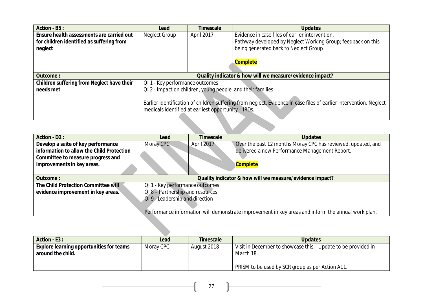| Action - B5 :                              | Lead                                                                                                               | <b>Timescale</b> | <b>Updates</b>                                               |
|--------------------------------------------|--------------------------------------------------------------------------------------------------------------------|------------------|--------------------------------------------------------------|
| Ensure health assessments are carried out  | Neglect Group                                                                                                      | April 2017       | Evidence in case files of earlier intervention.              |
| for children identified as suffering from  |                                                                                                                    |                  | Pathway developed by Neglect Working Group; feedback on this |
| neglect                                    |                                                                                                                    |                  | being generated back to Neglect Group                        |
|                                            |                                                                                                                    |                  |                                                              |
|                                            |                                                                                                                    |                  | <b>Complete</b>                                              |
|                                            |                                                                                                                    |                  |                                                              |
| <b>Outcome:</b>                            | Quality indicator & how will we measure/evidence impact?                                                           |                  |                                                              |
| Children suffering from Neglect have their | QI 1 - Key performance outcomes                                                                                    |                  |                                                              |
| needs met                                  | QI 2 - Impact on children, young people, and their families                                                        |                  |                                                              |
|                                            |                                                                                                                    |                  |                                                              |
|                                            | Earlier identification of children suffering from neglect. Evidence in case files of earlier intervention. Neglect |                  |                                                              |
|                                            | medicals identified at earliest opportunity - IRDs.                                                                |                  |                                                              |
|                                            |                                                                                                                    |                  |                                                              |
|                                            |                                                                                                                    |                  |                                                              |

| <b>Action - D2:</b>                       | Lead                                                                                               | <b>Timescale</b> | <b>Updates</b>                                               |  |  |
|-------------------------------------------|----------------------------------------------------------------------------------------------------|------------------|--------------------------------------------------------------|--|--|
| Develop a suite of key performance        | Moray CPC                                                                                          | April 2017       | Over the past 12 months Moray CPC has reviewed, updated, and |  |  |
| information to allow the Child Protection |                                                                                                    |                  | delivered a new Performance Management Report.               |  |  |
| Committee to measure progress and         |                                                                                                    |                  |                                                              |  |  |
| improvements in key areas.                |                                                                                                    |                  | <b>Complete</b>                                              |  |  |
|                                           |                                                                                                    |                  |                                                              |  |  |
| Outcome:                                  | Quality indicator & how will we measure/evidence impact?                                           |                  |                                                              |  |  |
| The Child Protection Committee will       | QI 1 - Key performance outcomes                                                                    |                  |                                                              |  |  |
| evidence improvement in key areas.        | QI8 - Partnership and resources                                                                    |                  |                                                              |  |  |
|                                           | QI9 - Leadership and direction                                                                     |                  |                                                              |  |  |
|                                           |                                                                                                    |                  |                                                              |  |  |
|                                           | Performance information will demonstrate improvement in key areas and inform the annual work plan. |                  |                                                              |  |  |
|                                           |                                                                                                    |                  |                                                              |  |  |
|                                           |                                                                                                    |                  |                                                              |  |  |
|                                           |                                                                                                    |                  |                                                              |  |  |

| Action - E3 :                                   | Lead      | <b>Timescale</b> | <b>Updates</b>                                               |
|-------------------------------------------------|-----------|------------------|--------------------------------------------------------------|
| <b>Explore learning opportunities for teams</b> | Moray CPC | August 2018      | Visit in December to showcase this. Update to be provided in |
| around the child.                               |           |                  | March 18.                                                    |
|                                                 |           |                  |                                                              |
|                                                 |           |                  | PRISM to be used by SCR group as per Action A11.             |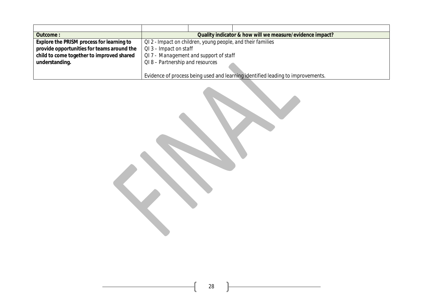| Outcome:                                   | Quality indicator & how will we measure/evidence impact?                        |  |                                                             |  |  |
|--------------------------------------------|---------------------------------------------------------------------------------|--|-------------------------------------------------------------|--|--|
| Explore the PRISM process for learning to  |                                                                                 |  | QI 2 - Impact on children, young people, and their families |  |  |
| provide opportunities for teams around the | $QI$ 3 – Impact on staff                                                        |  |                                                             |  |  |
| child to come together to improved shared  | QI7 - Management and support of staff                                           |  |                                                             |  |  |
| understanding.                             | QI8-Partnership and resources                                                   |  |                                                             |  |  |
|                                            |                                                                                 |  |                                                             |  |  |
|                                            | Evidence of process being used and learning identified leading to improvements. |  |                                                             |  |  |